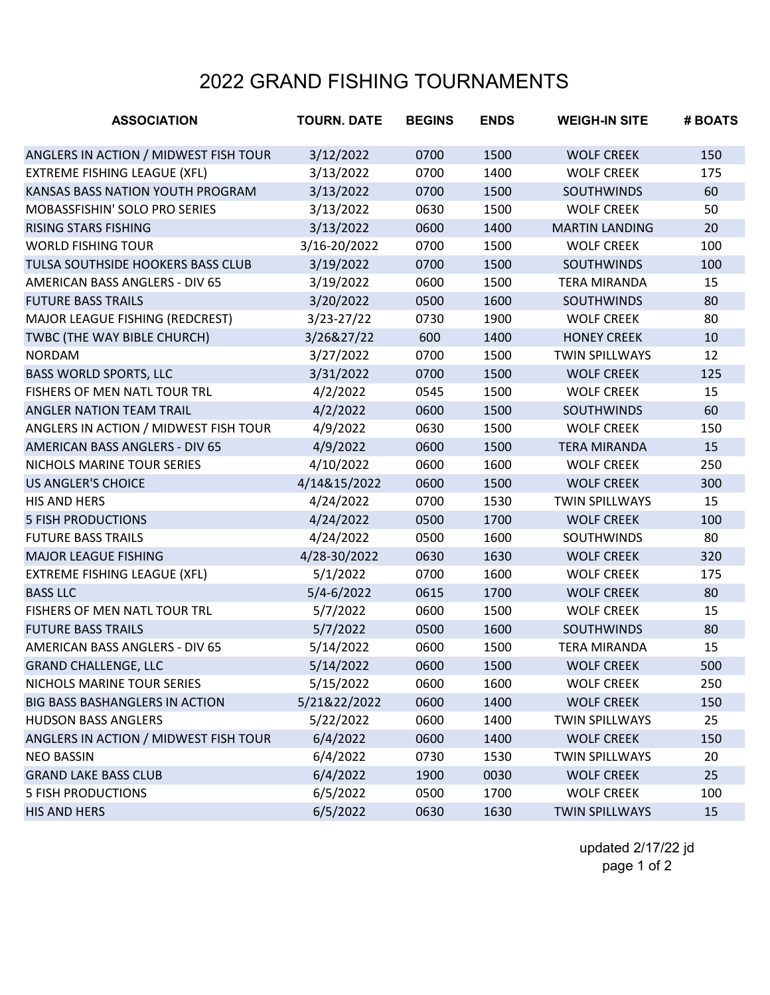## 2022 GRAND FISHING TOURNAMENTS

| <b>ASSOCIATION</b>                    | <b>TOURN. DATE</b> | <b>BEGINS</b> | <b>ENDS</b> | <b>WEIGH-IN SITE</b>  | # BOATS |
|---------------------------------------|--------------------|---------------|-------------|-----------------------|---------|
| ANGLERS IN ACTION / MIDWEST FISH TOUR | 3/12/2022          | 0700          | 1500        | <b>WOLF CREEK</b>     | 150     |
| <b>EXTREME FISHING LEAGUE (XFL)</b>   | 3/13/2022          | 0700          | 1400        | <b>WOLF CREEK</b>     | 175     |
| KANSAS BASS NATION YOUTH PROGRAM      | 3/13/2022          | 0700          | 1500        | <b>SOUTHWINDS</b>     | 60      |
| MOBASSFISHIN' SOLO PRO SERIES         | 3/13/2022          | 0630          | 1500        | <b>WOLF CREEK</b>     | 50      |
| <b>RISING STARS FISHING</b>           | 3/13/2022          | 0600          | 1400        | <b>MARTIN LANDING</b> | 20      |
| <b>WORLD FISHING TOUR</b>             | 3/16-20/2022       | 0700          | 1500        | <b>WOLF CREEK</b>     | 100     |
| TULSA SOUTHSIDE HOOKERS BASS CLUB     | 3/19/2022          | 0700          | 1500        | <b>SOUTHWINDS</b>     | 100     |
| AMERICAN BASS ANGLERS - DIV 65        | 3/19/2022          | 0600          | 1500        | <b>TERA MIRANDA</b>   | 15      |
| <b>FUTURE BASS TRAILS</b>             | 3/20/2022          | 0500          | 1600        | <b>SOUTHWINDS</b>     | 80      |
| MAJOR LEAGUE FISHING (REDCREST)       | $3/23 - 27/22$     | 0730          | 1900        | <b>WOLF CREEK</b>     | 80      |
| TWBC (THE WAY BIBLE CHURCH)           | 3/26&27/22         | 600           | 1400        | <b>HONEY CREEK</b>    | 10      |
| <b>NORDAM</b>                         | 3/27/2022          | 0700          | 1500        | <b>TWIN SPILLWAYS</b> | 12      |
| <b>BASS WORLD SPORTS, LLC</b>         | 3/31/2022          | 0700          | 1500        | <b>WOLF CREEK</b>     | 125     |
| FISHERS OF MEN NATL TOUR TRL          | 4/2/2022           | 0545          | 1500        | <b>WOLF CREEK</b>     | 15      |
| ANGLER NATION TEAM TRAIL              | 4/2/2022           | 0600          | 1500        | <b>SOUTHWINDS</b>     | 60      |
| ANGLERS IN ACTION / MIDWEST FISH TOUR | 4/9/2022           | 0630          | 1500        | <b>WOLF CREEK</b>     | 150     |
| <b>AMERICAN BASS ANGLERS - DIV 65</b> | 4/9/2022           | 0600          | 1500        | <b>TERA MIRANDA</b>   | 15      |
| NICHOLS MARINE TOUR SERIES            | 4/10/2022          | 0600          | 1600        | <b>WOLF CREEK</b>     | 250     |
| <b>US ANGLER'S CHOICE</b>             | 4/14&15/2022       | 0600          | 1500        | <b>WOLF CREEK</b>     | 300     |
| HIS AND HERS                          | 4/24/2022          | 0700          | 1530        | <b>TWIN SPILLWAYS</b> | 15      |
| <b>5 FISH PRODUCTIONS</b>             | 4/24/2022          | 0500          | 1700        | <b>WOLF CREEK</b>     | 100     |
| <b>FUTURE BASS TRAILS</b>             | 4/24/2022          | 0500          | 1600        | <b>SOUTHWINDS</b>     | 80      |
| <b>MAJOR LEAGUE FISHING</b>           | 4/28-30/2022       | 0630          | 1630        | <b>WOLF CREEK</b>     | 320     |
| <b>EXTREME FISHING LEAGUE (XFL)</b>   | 5/1/2022           | 0700          | 1600        | <b>WOLF CREEK</b>     | 175     |
| <b>BASS LLC</b>                       | $5/4 - 6/2022$     | 0615          | 1700        | <b>WOLF CREEK</b>     | 80      |
| FISHERS OF MEN NATL TOUR TRL          | 5/7/2022           | 0600          | 1500        | <b>WOLF CREEK</b>     | 15      |
| <b>FUTURE BASS TRAILS</b>             | 5/7/2022           | 0500          | 1600        | <b>SOUTHWINDS</b>     | 80      |
| <b>AMERICAN BASS ANGLERS - DIV 65</b> | 5/14/2022          | 0600          | 1500        | <b>TERA MIRANDA</b>   | 15      |
| <b>GRAND CHALLENGE, LLC</b>           | 5/14/2022          | 0600          | 1500        | <b>WOLF CREEK</b>     | 500     |
| NICHOLS MARINE TOUR SERIES            | 5/15/2022          | 0600          | 1600        | <b>WOLF CREEK</b>     | 250     |
| BIG BASS BASHANGLERS IN ACTION        | 5/21&22/2022       | 0600          | 1400        | <b>WOLF CREEK</b>     | 150     |
| <b>HUDSON BASS ANGLERS</b>            | 5/22/2022          | 0600          | 1400        | <b>TWIN SPILLWAYS</b> | 25      |
| ANGLERS IN ACTION / MIDWEST FISH TOUR | 6/4/2022           | 0600          | 1400        | <b>WOLF CREEK</b>     | 150     |
| <b>NEO BASSIN</b>                     | 6/4/2022           | 0730          | 1530        | <b>TWIN SPILLWAYS</b> | 20      |
| <b>GRAND LAKE BASS CLUB</b>           | 6/4/2022           | 1900          | 0030        | <b>WOLF CREEK</b>     | 25      |
| <b>5 FISH PRODUCTIONS</b>             | 6/5/2022           | 0500          | 1700        | <b>WOLF CREEK</b>     | 100     |
| <b>HIS AND HERS</b>                   | 6/5/2022           | 0630          | 1630        | <b>TWIN SPILLWAYS</b> | 15      |

updated 2/17/22 jd page 1 of 2